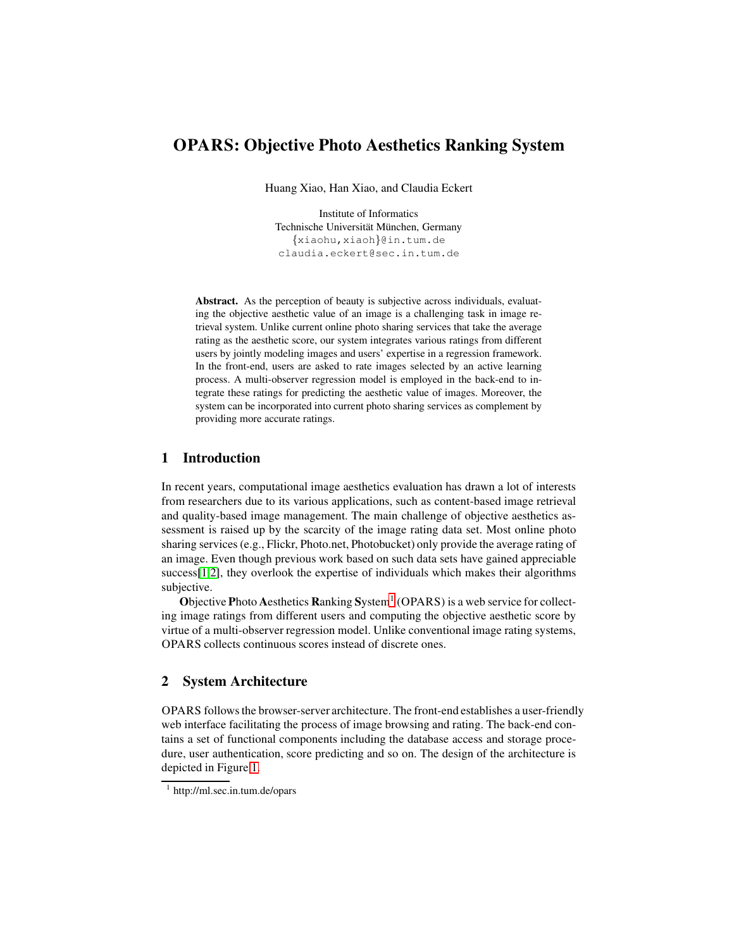# OPARS: Objective Photo Aesthetics Ranking System

Huang Xiao, Han Xiao, and Claudia Eckert

Institute of Informatics Technische Universität München, Germany {xiaohu,xiaoh}@in.tum.de claudia.eckert@sec.in.tum.de

Abstract. As the perception of beauty is subjective across individuals, evaluating the objective aesthetic value of an image is a challenging task in image retrieval system. Unlike current online photo sharing services that take the average rating as the aesthetic score, our system integrates various ratings from different users by jointly modeling images and users' expertise in a regression framework. In the front-end, users are asked to rate images selected by an active learning process. A multi-observer regression model is employed in the back-end to integrate these ratings for predicting the aesthetic value of images. Moreover, the system can be incorporated into current photo sharing services as complement by providing more accurate ratings.

# 1 Introduction

In recent years, computational image aesthetics evaluation has drawn a lot of interests from researchers due to its various applications, such as content-based image retrieval and quality-based image management. The main challenge of objective aesthetics assessment is raised up by the scarcity of the image rating data set. Most online photo sharing services (e.g., Flickr, Photo.net, Photobucket) only provide the average rating of an image. Even though previous work based on such data sets have gained appreciable success[\[1](#page-3-0)[,2\]](#page-3-1), they overlook the expertise of individuals which makes their algorithms subjective.

Objective Photo Aesthetics Ranking System<sup>1</sup> (OPARS) is a web service for collecting image ratings from different users and computing the objective aesthetic score by virtue of a multi-observer regression model. Unlike conventional image rating systems, OPARS collects continuous scores instead of discrete ones.

# 2 System Architecture

OPARS follows the browser-server architecture. The front-end establishes a user-friendly web interface facilitating the process of image browsing and rating. The back-end contains a set of functional components including the database access and storage procedure, user authentication, score predicting and so on. The design of the architecture is depicted in Figure [1.](#page-1-0)

<sup>1</sup> http://ml.sec.in.tum.de/opars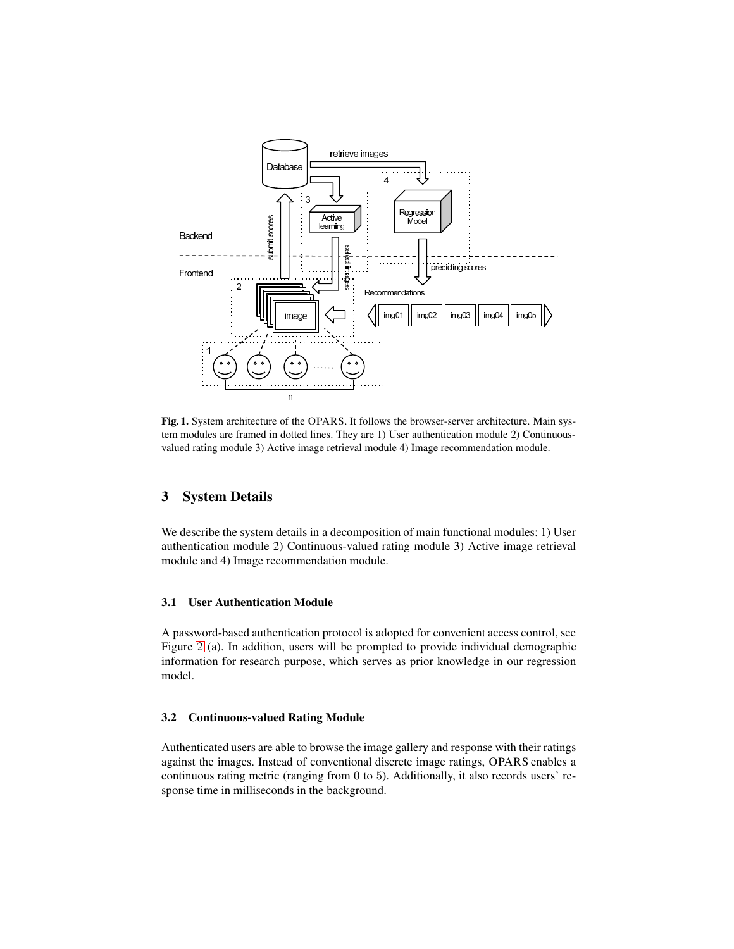

<span id="page-1-0"></span>Fig. 1. System architecture of the OPARS. It follows the browser-server architecture. Main system modules are framed in dotted lines. They are 1) User authentication module 2) Continuousvalued rating module 3) Active image retrieval module 4) Image recommendation module.

# 3 System Details

We describe the system details in a decomposition of main functional modules: 1) User authentication module 2) Continuous-valued rating module 3) Active image retrieval module and 4) Image recommendation module.

## 3.1 User Authentication Module

A password-based authentication protocol is adopted for convenient access control, see Figure [2](#page-2-0) (a). In addition, users will be prompted to provide individual demographic information for research purpose, which serves as prior knowledge in our regression model.

### 3.2 Continuous-valued Rating Module

Authenticated users are able to browse the image gallery and response with their ratings against the images. Instead of conventional discrete image ratings, OPARS enables a continuous rating metric (ranging from 0 to 5). Additionally, it also records users' response time in milliseconds in the background.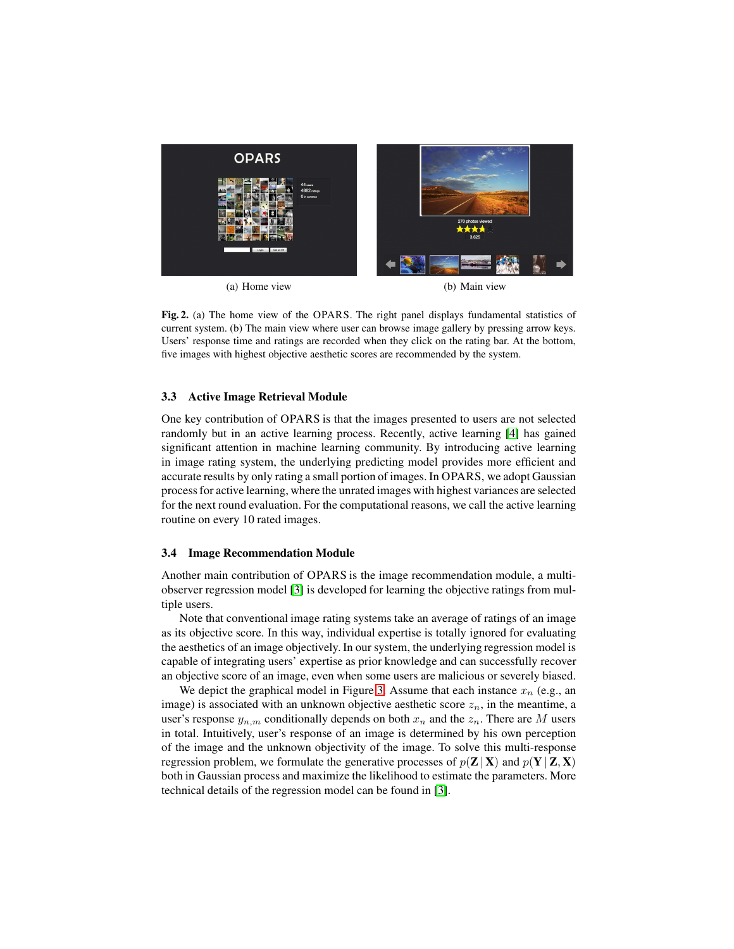

(a) Home view (b) Main view

<span id="page-2-0"></span>Fig. 2. (a) The home view of the OPARS. The right panel displays fundamental statistics of current system. (b) The main view where user can browse image gallery by pressing arrow keys. Users' response time and ratings are recorded when they click on the rating bar. At the bottom, five images with highest objective aesthetic scores are recommended by the system.

#### 3.3 Active Image Retrieval Module

One key contribution of OPARS is that the images presented to users are not selected randomly but in an active learning process. Recently, active learning [\[4\]](#page-3-2) has gained significant attention in machine learning community. By introducing active learning in image rating system, the underlying predicting model provides more efficient and accurate results by only rating a small portion of images. In OPARS, we adopt Gaussian process for active learning, where the unrated images with highest variances are selected for the next round evaluation. For the computational reasons, we call the active learning routine on every 10 rated images.

#### 3.4 Image Recommendation Module

Another main contribution of OPARS is the image recommendation module, a multiobserver regression model [\[3\]](#page-3-3) is developed for learning the objective ratings from multiple users.

Note that conventional image rating systems take an average of ratings of an image as its objective score. In this way, individual expertise is totally ignored for evaluating the aesthetics of an image objectively. In our system, the underlying regression model is capable of integrating users' expertise as prior knowledge and can successfully recover an objective score of an image, even when some users are malicious or severely biased.

We depict the graphical model in Figure [3.](#page-3-4) Assume that each instance  $x_n$  (e.g., an image) is associated with an unknown objective aesthetic score  $z_n$ , in the meantime, a user's response  $y_{n,m}$  conditionally depends on both  $x_n$  and the  $z_n$ . There are M users in total. Intuitively, user's response of an image is determined by his own perception of the image and the unknown objectivity of the image. To solve this multi-response regression problem, we formulate the generative processes of  $p(Z|X)$  and  $p(Y|Z, X)$ both in Gaussian process and maximize the likelihood to estimate the parameters. More technical details of the regression model can be found in [\[3\]](#page-3-3).